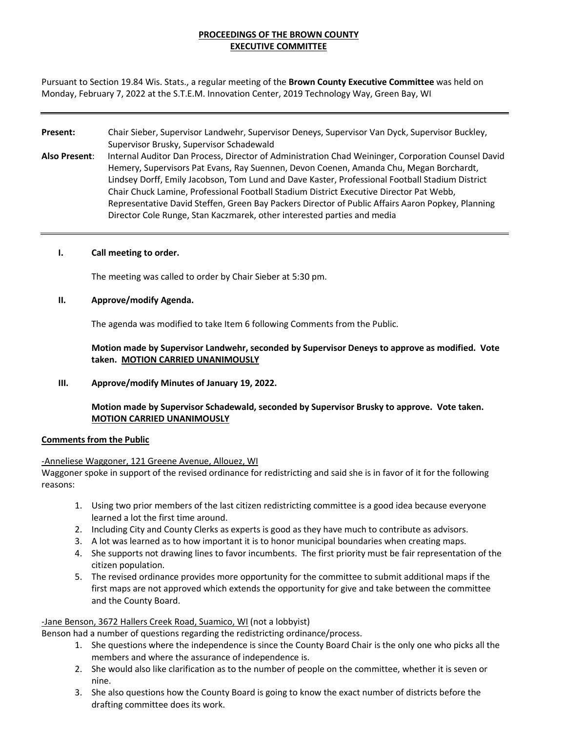# **PROCEEDINGS OF THE BROWN COUNTY EXECUTIVE COMMITTEE**

Pursuant to Section 19.84 Wis. Stats., a regular meeting of the **Brown County Executive Committee** was held on Monday, February 7, 2022 at the S.T.E.M. Innovation Center, 2019 Technology Way, Green Bay, WI

# **Present:** Chair Sieber, Supervisor Landwehr, Supervisor Deneys, Supervisor Van Dyck, Supervisor Buckley, Supervisor Brusky, Supervisor Schadewald

**Also Present**: Internal Auditor Dan Process, Director of Administration Chad Weininger, Corporation Counsel David Hemery, Supervisors Pat Evans, Ray Suennen, Devon Coenen, Amanda Chu, Megan Borchardt, Lindsey Dorff, Emily Jacobson, Tom Lund and Dave Kaster, Professional Football Stadium District Chair Chuck Lamine, Professional Football Stadium District Executive Director Pat Webb, Representative David Steffen, Green Bay Packers Director of Public Affairs Aaron Popkey, Planning Director Cole Runge, Stan Kaczmarek, other interested parties and media

# **I. Call meeting to order.**

The meeting was called to order by Chair Sieber at 5:30 pm.

# **II. Approve/modify Agenda.**

The agenda was modified to take Item 6 following Comments from the Public.

**Motion made by Supervisor Landwehr, seconded by Supervisor Deneys to approve as modified. Vote taken. MOTION CARRIED UNANIMOUSLY**

**III. Approve/modify Minutes of January 19, 2022.** 

# **Motion made by Supervisor Schadewald, seconded by Supervisor Brusky to approve. Vote taken. MOTION CARRIED UNANIMOUSLY**

# **Comments from the Public**

#### -Anneliese Waggoner, 121 Greene Avenue, Allouez, WI

Waggoner spoke in support of the revised ordinance for redistricting and said she is in favor of it for the following reasons:

- 1. Using two prior members of the last citizen redistricting committee is a good idea because everyone learned a lot the first time around.
- 2. Including City and County Clerks as experts is good as they have much to contribute as advisors.
- 3. A lot was learned as to how important it is to honor municipal boundaries when creating maps.
- 4. She supports not drawing lines to favor incumbents. The first priority must be fair representation of the citizen population.
- 5. The revised ordinance provides more opportunity for the committee to submit additional maps if the first maps are not approved which extends the opportunity for give and take between the committee and the County Board.

# -Jane Benson, 3672 Hallers Creek Road, Suamico, WI (not a lobbyist)

Benson had a number of questions regarding the redistricting ordinance/process.

- 1. She questions where the independence is since the County Board Chair is the only one who picks all the members and where the assurance of independence is.
- 2. She would also like clarification as to the number of people on the committee, whether it is seven or nine.
- 3. She also questions how the County Board is going to know the exact number of districts before the drafting committee does its work.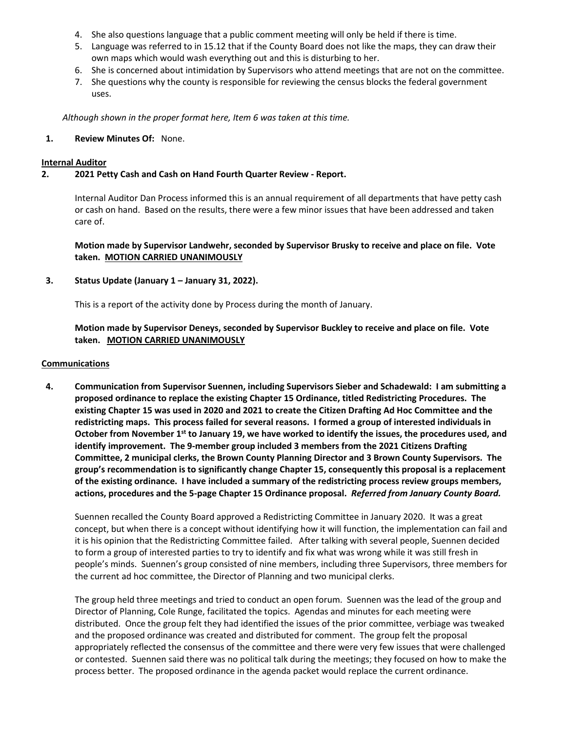- 4. She also questions language that a public comment meeting will only be held if there is time.
- 5. Language was referred to in 15.12 that if the County Board does not like the maps, they can draw their own maps which would wash everything out and this is disturbing to her.
- 6. She is concerned about intimidation by Supervisors who attend meetings that are not on the committee.
- 7. She questions why the county is responsible for reviewing the census blocks the federal government uses.

*Although shown in the proper format here, Item 6 was taken at this time.* 

# **1. Review Minutes Of:** None.

#### **Internal Auditor**

# **2. 2021 Petty Cash and Cash on Hand Fourth Quarter Review - Report.**

Internal Auditor Dan Process informed this is an annual requirement of all departments that have petty cash or cash on hand. Based on the results, there were a few minor issues that have been addressed and taken care of.

**Motion made by Supervisor Landwehr, seconded by Supervisor Brusky to receive and place on file. Vote taken. MOTION CARRIED UNANIMOUSLY**

# **3. Status Update (January 1 – January 31, 2022).**

This is a report of the activity done by Process during the month of January.

# **Motion made by Supervisor Deneys, seconded by Supervisor Buckley to receive and place on file. Vote taken. MOTION CARRIED UNANIMOUSLY**

#### **Communications**

**4. Communication from Supervisor Suennen, including Supervisors Sieber and Schadewald: I am submitting a proposed ordinance to replace the existing Chapter 15 Ordinance, titled Redistricting Procedures. The existing Chapter 15 was used in 2020 and 2021 to create the Citizen Drafting Ad Hoc Committee and the redistricting maps. This process failed for several reasons. I formed a group of interested individuals in October from November 1st to January 19, we have worked to identify the issues, the procedures used, and identify improvement. The 9-member group included 3 members from the 2021 Citizens Drafting Committee, 2 municipal clerks, the Brown County Planning Director and 3 Brown County Supervisors. The group's recommendation is to significantly change Chapter 15, consequently this proposal is a replacement of the existing ordinance. I have included a summary of the redistricting process review groups members, actions, procedures and the 5-page Chapter 15 Ordinance proposal.** *Referred from January County Board.*

Suennen recalled the County Board approved a Redistricting Committee in January 2020. It was a great concept, but when there is a concept without identifying how it will function, the implementation can fail and it is his opinion that the Redistricting Committee failed. After talking with several people, Suennen decided to form a group of interested parties to try to identify and fix what was wrong while it was still fresh in people's minds. Suennen's group consisted of nine members, including three Supervisors, three members for the current ad hoc committee, the Director of Planning and two municipal clerks.

The group held three meetings and tried to conduct an open forum. Suennen was the lead of the group and Director of Planning, Cole Runge, facilitated the topics. Agendas and minutes for each meeting were distributed. Once the group felt they had identified the issues of the prior committee, verbiage was tweaked and the proposed ordinance was created and distributed for comment. The group felt the proposal appropriately reflected the consensus of the committee and there were very few issues that were challenged or contested. Suennen said there was no political talk during the meetings; they focused on how to make the process better. The proposed ordinance in the agenda packet would replace the current ordinance.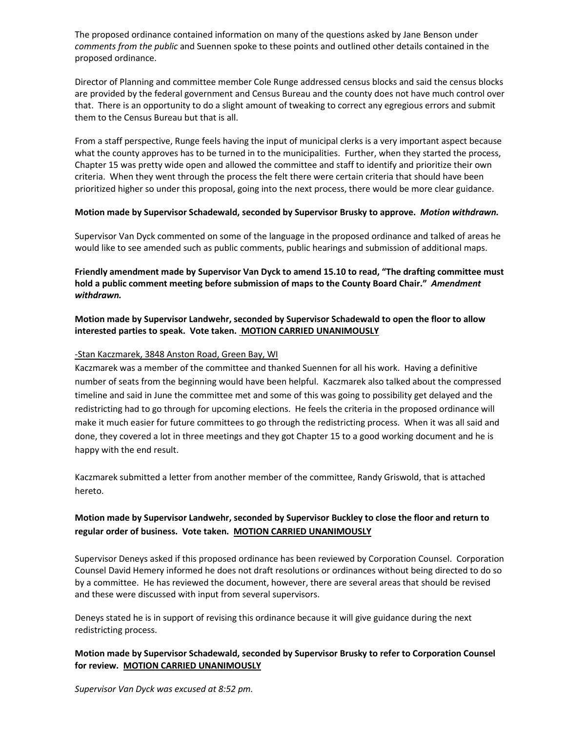The proposed ordinance contained information on many of the questions asked by Jane Benson under *comments from the public* and Suennen spoke to these points and outlined other details contained in the proposed ordinance.

Director of Planning and committee member Cole Runge addressed census blocks and said the census blocks are provided by the federal government and Census Bureau and the county does not have much control over that. There is an opportunity to do a slight amount of tweaking to correct any egregious errors and submit them to the Census Bureau but that is all.

From a staff perspective, Runge feels having the input of municipal clerks is a very important aspect because what the county approves has to be turned in to the municipalities. Further, when they started the process, Chapter 15 was pretty wide open and allowed the committee and staff to identify and prioritize their own criteria. When they went through the process the felt there were certain criteria that should have been prioritized higher so under this proposal, going into the next process, there would be more clear guidance.

# **Motion made by Supervisor Schadewald, seconded by Supervisor Brusky to approve.** *Motion withdrawn.*

Supervisor Van Dyck commented on some of the language in the proposed ordinance and talked of areas he would like to see amended such as public comments, public hearings and submission of additional maps.

**Friendly amendment made by Supervisor Van Dyck to amend 15.10 to read, "The drafting committee must hold a public comment meeting before submission of maps to the County Board Chair."** *Amendment withdrawn.*

# **Motion made by Supervisor Landwehr, seconded by Supervisor Schadewald to open the floor to allow interested parties to speak. Vote taken. MOTION CARRIED UNANIMOUSLY**

# -Stan Kaczmarek, 3848 Anston Road, Green Bay, WI

Kaczmarek was a member of the committee and thanked Suennen for all his work. Having a definitive number of seats from the beginning would have been helpful. Kaczmarek also talked about the compressed timeline and said in June the committee met and some of this was going to possibility get delayed and the redistricting had to go through for upcoming elections. He feels the criteria in the proposed ordinance will make it much easier for future committees to go through the redistricting process. When it was all said and done, they covered a lot in three meetings and they got Chapter 15 to a good working document and he is happy with the end result.

Kaczmarek submitted a letter from another member of the committee, Randy Griswold, that is attached hereto.

# **Motion made by Supervisor Landwehr, seconded by Supervisor Buckley to close the floor and return to regular order of business. Vote taken. MOTION CARRIED UNANIMOUSLY**

Supervisor Deneys asked if this proposed ordinance has been reviewed by Corporation Counsel. Corporation Counsel David Hemery informed he does not draft resolutions or ordinances without being directed to do so by a committee. He has reviewed the document, however, there are several areas that should be revised and these were discussed with input from several supervisors.

Deneys stated he is in support of revising this ordinance because it will give guidance during the next redistricting process.

# **Motion made by Supervisor Schadewald, seconded by Supervisor Brusky to refer to Corporation Counsel for review. MOTION CARRIED UNANIMOUSLY**

*Supervisor Van Dyck was excused at 8:52 pm.*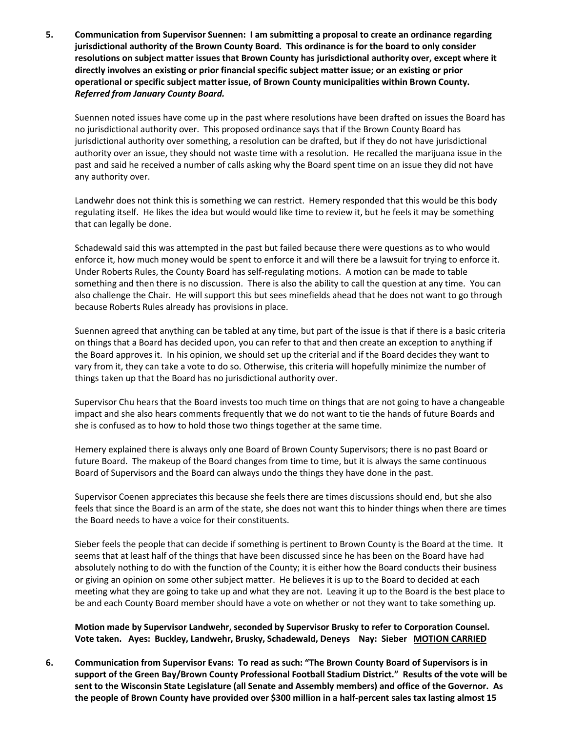**5. Communication from Supervisor Suennen: I am submitting a proposal to create an ordinance regarding jurisdictional authority of the Brown County Board. This ordinance is for the board to only consider resolutions on subject matter issues that Brown County has jurisdictional authority over, except where it directly involves an existing or prior financial specific subject matter issue; or an existing or prior operational or specific subject matter issue, of Brown County municipalities within Brown County.**  *Referred from January County Board.*

Suennen noted issues have come up in the past where resolutions have been drafted on issues the Board has no jurisdictional authority over. This proposed ordinance says that if the Brown County Board has jurisdictional authority over something, a resolution can be drafted, but if they do not have jurisdictional authority over an issue, they should not waste time with a resolution. He recalled the marijuana issue in the past and said he received a number of calls asking why the Board spent time on an issue they did not have any authority over.

Landwehr does not think this is something we can restrict. Hemery responded that this would be this body regulating itself. He likes the idea but would would like time to review it, but he feels it may be something that can legally be done.

Schadewald said this was attempted in the past but failed because there were questions as to who would enforce it, how much money would be spent to enforce it and will there be a lawsuit for trying to enforce it. Under Roberts Rules, the County Board has self-regulating motions. A motion can be made to table something and then there is no discussion. There is also the ability to call the question at any time. You can also challenge the Chair. He will support this but sees minefields ahead that he does not want to go through because Roberts Rules already has provisions in place.

Suennen agreed that anything can be tabled at any time, but part of the issue is that if there is a basic criteria on things that a Board has decided upon, you can refer to that and then create an exception to anything if the Board approves it. In his opinion, we should set up the criterial and if the Board decides they want to vary from it, they can take a vote to do so. Otherwise, this criteria will hopefully minimize the number of things taken up that the Board has no jurisdictional authority over.

Supervisor Chu hears that the Board invests too much time on things that are not going to have a changeable impact and she also hears comments frequently that we do not want to tie the hands of future Boards and she is confused as to how to hold those two things together at the same time.

Hemery explained there is always only one Board of Brown County Supervisors; there is no past Board or future Board. The makeup of the Board changes from time to time, but it is always the same continuous Board of Supervisors and the Board can always undo the things they have done in the past.

Supervisor Coenen appreciates this because she feels there are times discussions should end, but she also feels that since the Board is an arm of the state, she does not want this to hinder things when there are times the Board needs to have a voice for their constituents.

Sieber feels the people that can decide if something is pertinent to Brown County is the Board at the time. It seems that at least half of the things that have been discussed since he has been on the Board have had absolutely nothing to do with the function of the County; it is either how the Board conducts their business or giving an opinion on some other subject matter. He believes it is up to the Board to decided at each meeting what they are going to take up and what they are not. Leaving it up to the Board is the best place to be and each County Board member should have a vote on whether or not they want to take something up.

**Motion made by Supervisor Landwehr, seconded by Supervisor Brusky to refer to Corporation Counsel. Vote taken. Ayes: Buckley, Landwehr, Brusky, Schadewald, Deneys Nay: Sieber MOTION CARRIED** 

**6. Communication from Supervisor Evans: To read as such: "The Brown County Board of Supervisors is in support of the Green Bay/Brown County Professional Football Stadium District." Results of the vote will be sent to the Wisconsin State Legislature (all Senate and Assembly members) and office of the Governor. As the people of Brown County have provided over \$300 million in a half-percent sales tax lasting almost 15**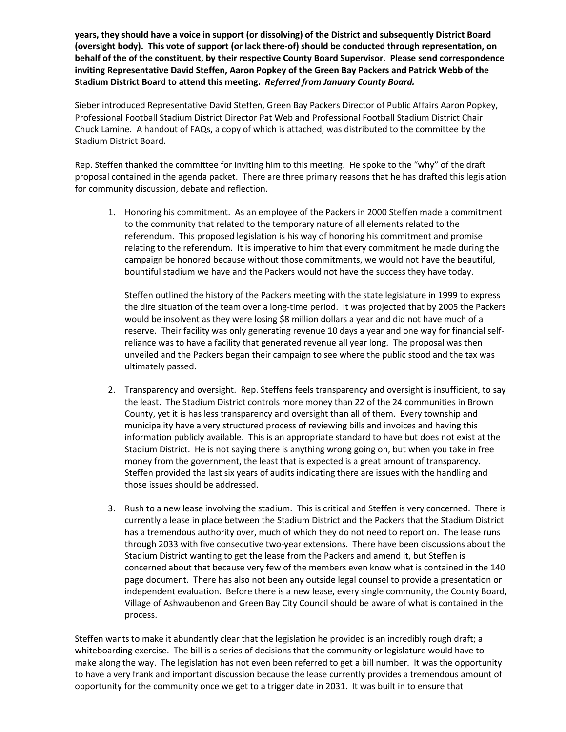**years, they should have a voice in support (or dissolving) of the District and subsequently District Board (oversight body). This vote of support (or lack there-of) should be conducted through representation, on behalf of the of the constituent, by their respective County Board Supervisor. Please send correspondence inviting Representative David Steffen, Aaron Popkey of the Green Bay Packers and Patrick Webb of the Stadium District Board to attend this meeting.** *Referred from January County Board.* 

Sieber introduced Representative David Steffen, Green Bay Packers Director of Public Affairs Aaron Popkey, Professional Football Stadium District Director Pat Web and Professional Football Stadium District Chair Chuck Lamine. A handout of FAQs, a copy of which is attached, was distributed to the committee by the Stadium District Board.

Rep. Steffen thanked the committee for inviting him to this meeting. He spoke to the "why" of the draft proposal contained in the agenda packet. There are three primary reasons that he has drafted this legislation for community discussion, debate and reflection.

1. Honoring his commitment. As an employee of the Packers in 2000 Steffen made a commitment to the community that related to the temporary nature of all elements related to the referendum. This proposed legislation is his way of honoring his commitment and promise relating to the referendum. It is imperative to him that every commitment he made during the campaign be honored because without those commitments, we would not have the beautiful, bountiful stadium we have and the Packers would not have the success they have today.

Steffen outlined the history of the Packers meeting with the state legislature in 1999 to express the dire situation of the team over a long-time period. It was projected that by 2005 the Packers would be insolvent as they were losing \$8 million dollars a year and did not have much of a reserve. Their facility was only generating revenue 10 days a year and one way for financial selfreliance was to have a facility that generated revenue all year long. The proposal was then unveiled and the Packers began their campaign to see where the public stood and the tax was ultimately passed.

- 2. Transparency and oversight. Rep. Steffens feels transparency and oversight is insufficient, to say the least. The Stadium District controls more money than 22 of the 24 communities in Brown County, yet it is has less transparency and oversight than all of them. Every township and municipality have a very structured process of reviewing bills and invoices and having this information publicly available. This is an appropriate standard to have but does not exist at the Stadium District. He is not saying there is anything wrong going on, but when you take in free money from the government, the least that is expected is a great amount of transparency. Steffen provided the last six years of audits indicating there are issues with the handling and those issues should be addressed.
- 3. Rush to a new lease involving the stadium. This is critical and Steffen is very concerned. There is currently a lease in place between the Stadium District and the Packers that the Stadium District has a tremendous authority over, much of which they do not need to report on. The lease runs through 2033 with five consecutive two-year extensions. There have been discussions about the Stadium District wanting to get the lease from the Packers and amend it, but Steffen is concerned about that because very few of the members even know what is contained in the 140 page document. There has also not been any outside legal counsel to provide a presentation or independent evaluation. Before there is a new lease, every single community, the County Board, Village of Ashwaubenon and Green Bay City Council should be aware of what is contained in the process.

Steffen wants to make it abundantly clear that the legislation he provided is an incredibly rough draft; a whiteboarding exercise. The bill is a series of decisions that the community or legislature would have to make along the way. The legislation has not even been referred to get a bill number. It was the opportunity to have a very frank and important discussion because the lease currently provides a tremendous amount of opportunity for the community once we get to a trigger date in 2031. It was built in to ensure that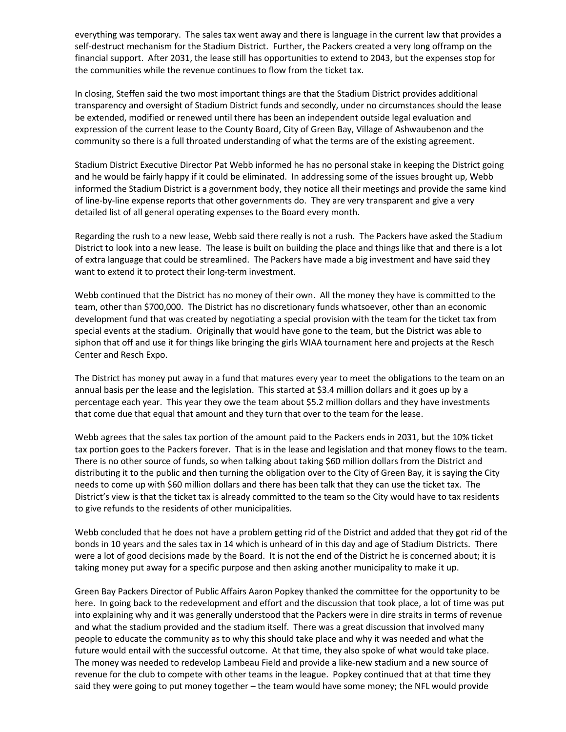everything was temporary. The sales tax went away and there is language in the current law that provides a self-destruct mechanism for the Stadium District. Further, the Packers created a very long offramp on the financial support. After 2031, the lease still has opportunities to extend to 2043, but the expenses stop for the communities while the revenue continues to flow from the ticket tax.

In closing, Steffen said the two most important things are that the Stadium District provides additional transparency and oversight of Stadium District funds and secondly, under no circumstances should the lease be extended, modified or renewed until there has been an independent outside legal evaluation and expression of the current lease to the County Board, City of Green Bay, Village of Ashwaubenon and the community so there is a full throated understanding of what the terms are of the existing agreement.

Stadium District Executive Director Pat Webb informed he has no personal stake in keeping the District going and he would be fairly happy if it could be eliminated. In addressing some of the issues brought up, Webb informed the Stadium District is a government body, they notice all their meetings and provide the same kind of line-by-line expense reports that other governments do. They are very transparent and give a very detailed list of all general operating expenses to the Board every month.

Regarding the rush to a new lease, Webb said there really is not a rush. The Packers have asked the Stadium District to look into a new lease. The lease is built on building the place and things like that and there is a lot of extra language that could be streamlined. The Packers have made a big investment and have said they want to extend it to protect their long-term investment.

Webb continued that the District has no money of their own. All the money they have is committed to the team, other than \$700,000. The District has no discretionary funds whatsoever, other than an economic development fund that was created by negotiating a special provision with the team for the ticket tax from special events at the stadium. Originally that would have gone to the team, but the District was able to siphon that off and use it for things like bringing the girls WIAA tournament here and projects at the Resch Center and Resch Expo.

The District has money put away in a fund that matures every year to meet the obligations to the team on an annual basis per the lease and the legislation. This started at \$3.4 million dollars and it goes up by a percentage each year. This year they owe the team about \$5.2 million dollars and they have investments that come due that equal that amount and they turn that over to the team for the lease.

Webb agrees that the sales tax portion of the amount paid to the Packers ends in 2031, but the 10% ticket tax portion goes to the Packers forever. That is in the lease and legislation and that money flows to the team. There is no other source of funds, so when talking about taking \$60 million dollars from the District and distributing it to the public and then turning the obligation over to the City of Green Bay, it is saying the City needs to come up with \$60 million dollars and there has been talk that they can use the ticket tax. The District's view is that the ticket tax is already committed to the team so the City would have to tax residents to give refunds to the residents of other municipalities.

Webb concluded that he does not have a problem getting rid of the District and added that they got rid of the bonds in 10 years and the sales tax in 14 which is unheard of in this day and age of Stadium Districts. There were a lot of good decisions made by the Board. It is not the end of the District he is concerned about; it is taking money put away for a specific purpose and then asking another municipality to make it up.

Green Bay Packers Director of Public Affairs Aaron Popkey thanked the committee for the opportunity to be here. In going back to the redevelopment and effort and the discussion that took place, a lot of time was put into explaining why and it was generally understood that the Packers were in dire straits in terms of revenue and what the stadium provided and the stadium itself. There was a great discussion that involved many people to educate the community as to why this should take place and why it was needed and what the future would entail with the successful outcome. At that time, they also spoke of what would take place. The money was needed to redevelop Lambeau Field and provide a like-new stadium and a new source of revenue for the club to compete with other teams in the league. Popkey continued that at that time they said they were going to put money together – the team would have some money; the NFL would provide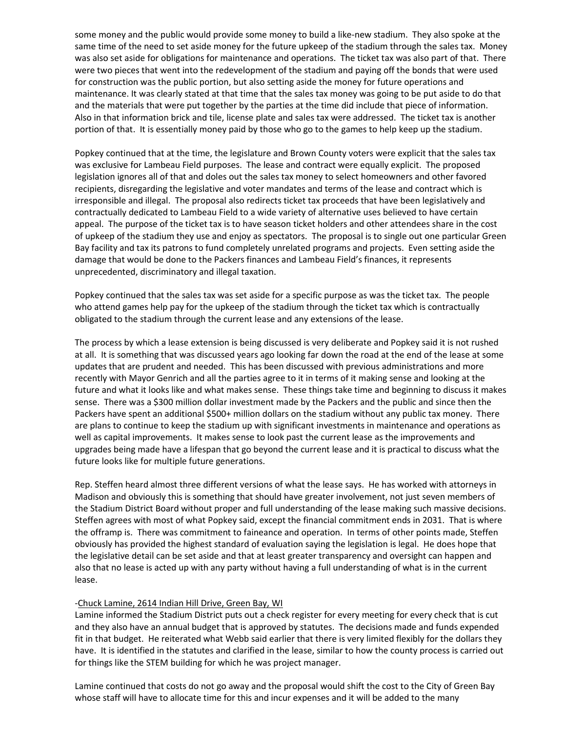some money and the public would provide some money to build a like-new stadium. They also spoke at the same time of the need to set aside money for the future upkeep of the stadium through the sales tax. Money was also set aside for obligations for maintenance and operations. The ticket tax was also part of that. There were two pieces that went into the redevelopment of the stadium and paying off the bonds that were used for construction was the public portion, but also setting aside the money for future operations and maintenance. It was clearly stated at that time that the sales tax money was going to be put aside to do that and the materials that were put together by the parties at the time did include that piece of information. Also in that information brick and tile, license plate and sales tax were addressed. The ticket tax is another portion of that. It is essentially money paid by those who go to the games to help keep up the stadium.

Popkey continued that at the time, the legislature and Brown County voters were explicit that the sales tax was exclusive for Lambeau Field purposes. The lease and contract were equally explicit. The proposed legislation ignores all of that and doles out the sales tax money to select homeowners and other favored recipients, disregarding the legislative and voter mandates and terms of the lease and contract which is irresponsible and illegal. The proposal also redirects ticket tax proceeds that have been legislatively and contractually dedicated to Lambeau Field to a wide variety of alternative uses believed to have certain appeal. The purpose of the ticket tax is to have season ticket holders and other attendees share in the cost of upkeep of the stadium they use and enjoy as spectators. The proposal is to single out one particular Green Bay facility and tax its patrons to fund completely unrelated programs and projects. Even setting aside the damage that would be done to the Packers finances and Lambeau Field's finances, it represents unprecedented, discriminatory and illegal taxation.

Popkey continued that the sales tax was set aside for a specific purpose as was the ticket tax. The people who attend games help pay for the upkeep of the stadium through the ticket tax which is contractually obligated to the stadium through the current lease and any extensions of the lease.

The process by which a lease extension is being discussed is very deliberate and Popkey said it is not rushed at all. It is something that was discussed years ago looking far down the road at the end of the lease at some updates that are prudent and needed. This has been discussed with previous administrations and more recently with Mayor Genrich and all the parties agree to it in terms of it making sense and looking at the future and what it looks like and what makes sense. These things take time and beginning to discuss it makes sense. There was a \$300 million dollar investment made by the Packers and the public and since then the Packers have spent an additional \$500+ million dollars on the stadium without any public tax money. There are plans to continue to keep the stadium up with significant investments in maintenance and operations as well as capital improvements. It makes sense to look past the current lease as the improvements and upgrades being made have a lifespan that go beyond the current lease and it is practical to discuss what the future looks like for multiple future generations.

Rep. Steffen heard almost three different versions of what the lease says. He has worked with attorneys in Madison and obviously this is something that should have greater involvement, not just seven members of the Stadium District Board without proper and full understanding of the lease making such massive decisions. Steffen agrees with most of what Popkey said, except the financial commitment ends in 2031. That is where the offramp is. There was commitment to faineance and operation. In terms of other points made, Steffen obviously has provided the highest standard of evaluation saying the legislation is legal. He does hope that the legislative detail can be set aside and that at least greater transparency and oversight can happen and also that no lease is acted up with any party without having a full understanding of what is in the current lease.

#### -Chuck Lamine, 2614 Indian Hill Drive, Green Bay, WI

Lamine informed the Stadium District puts out a check register for every meeting for every check that is cut and they also have an annual budget that is approved by statutes. The decisions made and funds expended fit in that budget. He reiterated what Webb said earlier that there is very limited flexibly for the dollars they have. It is identified in the statutes and clarified in the lease, similar to how the county process is carried out for things like the STEM building for which he was project manager.

Lamine continued that costs do not go away and the proposal would shift the cost to the City of Green Bay whose staff will have to allocate time for this and incur expenses and it will be added to the many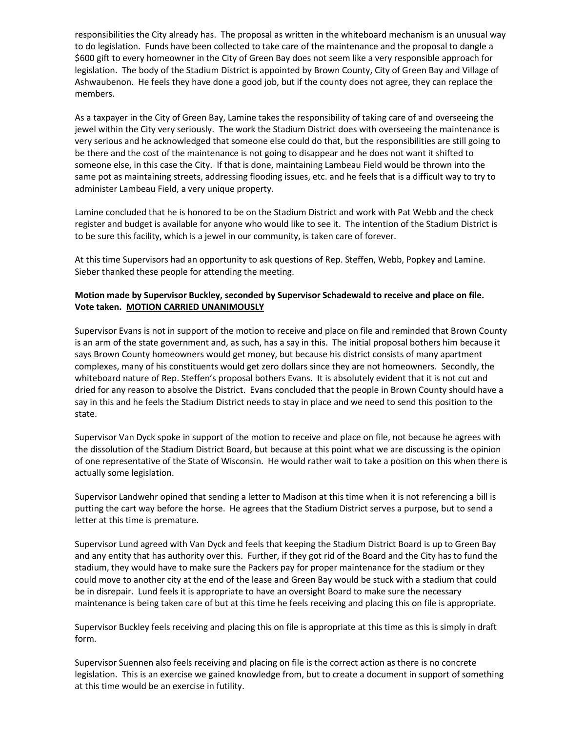responsibilities the City already has. The proposal as written in the whiteboard mechanism is an unusual way to do legislation. Funds have been collected to take care of the maintenance and the proposal to dangle a \$600 gift to every homeowner in the City of Green Bay does not seem like a very responsible approach for legislation. The body of the Stadium District is appointed by Brown County, City of Green Bay and Village of Ashwaubenon. He feels they have done a good job, but if the county does not agree, they can replace the members.

As a taxpayer in the City of Green Bay, Lamine takes the responsibility of taking care of and overseeing the jewel within the City very seriously. The work the Stadium District does with overseeing the maintenance is very serious and he acknowledged that someone else could do that, but the responsibilities are still going to be there and the cost of the maintenance is not going to disappear and he does not want it shifted to someone else, in this case the City. If that is done, maintaining Lambeau Field would be thrown into the same pot as maintaining streets, addressing flooding issues, etc. and he feels that is a difficult way to try to administer Lambeau Field, a very unique property.

Lamine concluded that he is honored to be on the Stadium District and work with Pat Webb and the check register and budget is available for anyone who would like to see it. The intention of the Stadium District is to be sure this facility, which is a jewel in our community, is taken care of forever.

At this time Supervisors had an opportunity to ask questions of Rep. Steffen, Webb, Popkey and Lamine. Sieber thanked these people for attending the meeting.

# **Motion made by Supervisor Buckley, seconded by Supervisor Schadewald to receive and place on file. Vote taken. MOTION CARRIED UNANIMOUSLY**

Supervisor Evans is not in support of the motion to receive and place on file and reminded that Brown County is an arm of the state government and, as such, has a say in this. The initial proposal bothers him because it says Brown County homeowners would get money, but because his district consists of many apartment complexes, many of his constituents would get zero dollars since they are not homeowners. Secondly, the whiteboard nature of Rep. Steffen's proposal bothers Evans. It is absolutely evident that it is not cut and dried for any reason to absolve the District. Evans concluded that the people in Brown County should have a say in this and he feels the Stadium District needs to stay in place and we need to send this position to the state.

Supervisor Van Dyck spoke in support of the motion to receive and place on file, not because he agrees with the dissolution of the Stadium District Board, but because at this point what we are discussing is the opinion of one representative of the State of Wisconsin. He would rather wait to take a position on this when there is actually some legislation.

Supervisor Landwehr opined that sending a letter to Madison at this time when it is not referencing a bill is putting the cart way before the horse. He agrees that the Stadium District serves a purpose, but to send a letter at this time is premature.

Supervisor Lund agreed with Van Dyck and feels that keeping the Stadium District Board is up to Green Bay and any entity that has authority over this. Further, if they got rid of the Board and the City has to fund the stadium, they would have to make sure the Packers pay for proper maintenance for the stadium or they could move to another city at the end of the lease and Green Bay would be stuck with a stadium that could be in disrepair. Lund feels it is appropriate to have an oversight Board to make sure the necessary maintenance is being taken care of but at this time he feels receiving and placing this on file is appropriate.

Supervisor Buckley feels receiving and placing this on file is appropriate at this time as this is simply in draft form.

Supervisor Suennen also feels receiving and placing on file is the correct action as there is no concrete legislation. This is an exercise we gained knowledge from, but to create a document in support of something at this time would be an exercise in futility.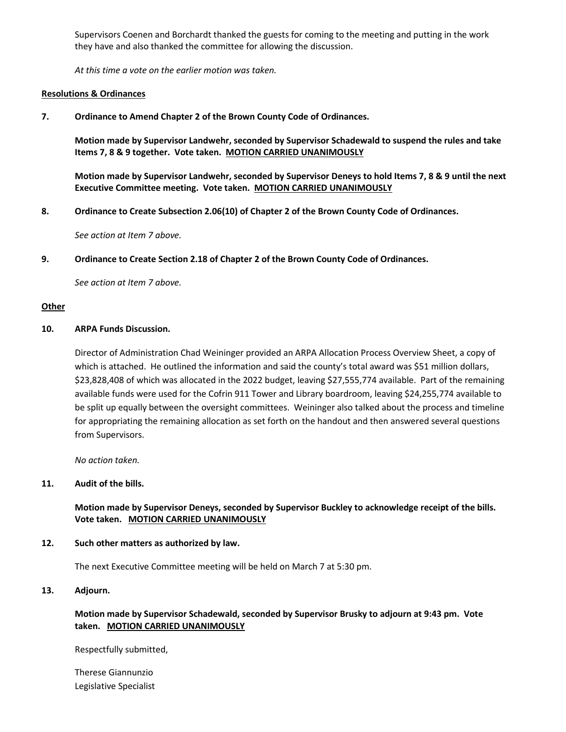Supervisors Coenen and Borchardt thanked the guests for coming to the meeting and putting in the work they have and also thanked the committee for allowing the discussion.

*At this time a vote on the earlier motion was taken.* 

#### **Resolutions & Ordinances**

**7. Ordinance to Amend Chapter 2 of the Brown County Code of Ordinances.** 

**Motion made by Supervisor Landwehr, seconded by Supervisor Schadewald to suspend the rules and take Items 7, 8 & 9 together. Vote taken. MOTION CARRIED UNANIMOUSLY**

**Motion made by Supervisor Landwehr, seconded by Supervisor Deneys to hold Items 7, 8 & 9 until the next Executive Committee meeting. Vote taken. MOTION CARRIED UNANIMOUSLY**

**8. Ordinance to Create Subsection 2.06(10) of Chapter 2 of the Brown County Code of Ordinances.**

*See action at Item 7 above.* 

**9. Ordinance to Create Section 2.18 of Chapter 2 of the Brown County Code of Ordinances.** 

*See action at Item 7 above.* 

#### **Other**

#### **10. ARPA Funds Discussion.**

Director of Administration Chad Weininger provided an ARPA Allocation Process Overview Sheet, a copy of which is attached. He outlined the information and said the county's total award was \$51 million dollars, \$23,828,408 of which was allocated in the 2022 budget, leaving \$27,555,774 available. Part of the remaining available funds were used for the Cofrin 911 Tower and Library boardroom, leaving \$24,255,774 available to be split up equally between the oversight committees. Weininger also talked about the process and timeline for appropriating the remaining allocation as set forth on the handout and then answered several questions from Supervisors.

*No action taken.*

#### **11. Audit of the bills.**

**Motion made by Supervisor Deneys, seconded by Supervisor Buckley to acknowledge receipt of the bills. Vote taken. MOTION CARRIED UNANIMOUSLY**

#### **12. Such other matters as authorized by law.**

The next Executive Committee meeting will be held on March 7 at 5:30 pm.

#### **13. Adjourn.**

# **Motion made by Supervisor Schadewald, seconded by Supervisor Brusky to adjourn at 9:43 pm. Vote taken. MOTION CARRIED UNANIMOUSLY**

Respectfully submitted,

Therese Giannunzio Legislative Specialist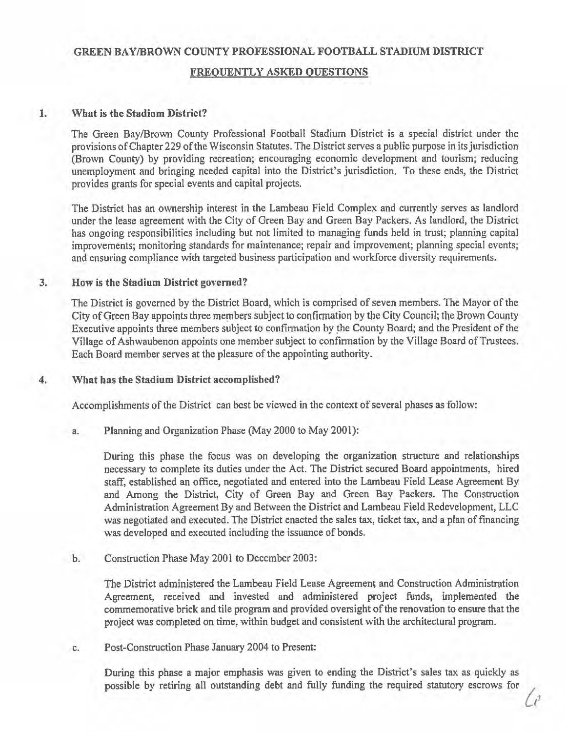# **GREEN BAY /BROWN COUNTY PROFESSIONAL FOOTBALL STADIUM DISTRICT**

# **FREQUENTLY ASKED QUESTIONS**

#### 1. **What is the Stadium District?**

The Green Bay/Brown County Professional Football Stadium District is a special district under the provisions of Chapter 229 of the Wisconsin Statutes. The District serves a public purpose in its jurisdiction (Brown County) by providing recreation; encouraging economic development and tourism; reducing unemployment and bringing needed capital into the District's jurisdiction. To these ends, the District provides grants for special events and capital projects.

The District has an ownership interest in the Lambeau Field Complex and currently serves as landlord under the lease agreement with the City of Green Bay and Green Bay Packers. As landlord, the District has ongoing responsibilities including but not limited to managing funds held in trust; planning capital improvements; monitoring standards for maintenance; repair and improvement; planning special events; and ensuring compliance with targeted business participation and workforce diversity requirements.

# **3. How is the Stadium District governed?**

The District is governed by the District Board, which is comprised of seven members. The Mayor of the City of Green Bay appoints three members subject to confirmation by the City Council; the Brown County Executive appoints three members subject to confirmation by the County Board; and the President of the Village of Ashwaubenon appoints one member subject to confirmation by the Village Board of Trustees. Each Board member serves at the pleasure of the appointing authority.

#### **4. What bas the Stadium District accomplished?**

Accomplishments of the District can best be viewed in the context of several phases as follow:

a. Planning and Organization Phase (May 2000 to May 2001):

During this phase the focus was on developing the organization structure and relationships necessary to complete its duties under the Act. The District secured Board appointments, hired staff, established an office, negotiated and entered into the Lambeau Field Lease Agreement By and Among the District, City of Green Bay and Green Bay Packers. The Construction Administration Agreement By and Between the District and Lambeau Field Redevelopment, LLC was negotiated and executed. The District enacted the sales tax, ticket tax, and a plan of financing was developed and executed including the issuance of bonds.

b. Construction Phase May 2001 to December 2003:

The District administered the Lambeau Field Lease Agreement and Construction Administration Agreement, received and invested and administered project funds, implemented the commemorative brick and tile program and provided oversight of the renovation to ensure that the project was completed on time, within budget and consistent with the architectural program.

c. Post-Construction Phase January 2004 to Present:

During this phase a major emphasis was given to ending the District's sales tax as quickly as possible by retiring all outstanding debt and fully funding the required statutory escrows for  $\int_{\ell}$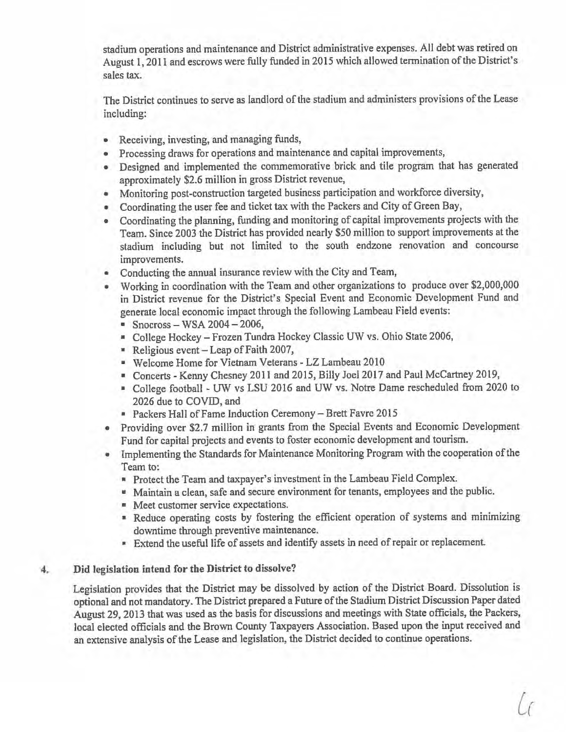stadium operations and maintenance and District administrative expenses. All debt was retired on August 1, 2011 and escrows were fully funded in 2015 which allowed termination of the District's sales tax.

The District continues to serve as landlord of the stadium and administers provisions of the Lease including:

- Receiving, investing, and managing funds,
- Processing draws for operations and maintenance and capital improvements,
- Designed and implemented the commemorative brick and tile program that has generated approximately \$2.6 million in gross District revenue,
- Monitoring post-construction targeted business participation and workforce diversity,
- Coordinating the user fee and ticket tax with the Packers and City of Green Bay,
- Coordinating the planning, funding and monitoring of capital improvements projects with the Team. Since 2003 the District has provided nearly *\$50* million to support improvements at the stadium including but not limited to the south endzone renovation and concourse improvements.
- Conducting the annual insurance review with the City and Team,
- Working in coordination with the Team and other organizations to produce over \$2,000,000 in District revenue for the District's Special Event and Economic Development Fund and generate local economic impact through the following Lambeau Field events:
	- $•$  Snocross WSA 2004 2006,
	- College Hockey Frozen Tundra Hockey Classic UW vs. Ohio State 2006,
	- Religious event-Leap of Faith 2007,
	- Welcome Home for Vietnam Veterans LZ Lambeau 2010
	- Concerts Kenny Chesney 2011 and 2015, Billy Joel 2017 and Paul McCartney 2019,
	- College football UW vs LSU 2016 and UW vs. Notre Dame rescheduled from 2020 to 2026 due to COVID, and
	- Packers Hall of Fame Induction Ceremony Brett Favre 2015
- Providing over \$2.7 million in grants from the Special Events and Economic Development Fund for capital projects and events to foster economic development and tourism.
- Implementing the Standards for Maintenance Monitoring Program with the cooperation of the Team to:
	- Protect the Team and taxpayer's investment in the Lambeau Field Complex.
	- Maintain a clean, safe and secure environment for tenants, employees and the public.
	- Meet customer service expectations.
	- Reduce operating costs by fostering the efficient operation of systems and minimizing downtime through preventive maintenance.
	- Extend the useful life of assets and identify assets in need of repair or replacement

# **4. Did legislation intend for the District to dissolve?**

Legislation provides that the District may be dissolved by action of the District Board. Dissolution is optional and not mandatory. The District prepared a Future of the Stadium District Discussion Paper dated August 29, 2013 that was used as the basis for discussions and meetings with State officials, the Packers, local elected officials and the Brown County Taxpayers Association. Based upon the input received and an extensive analysis of the Lease and legislation, the District decided to continue operations.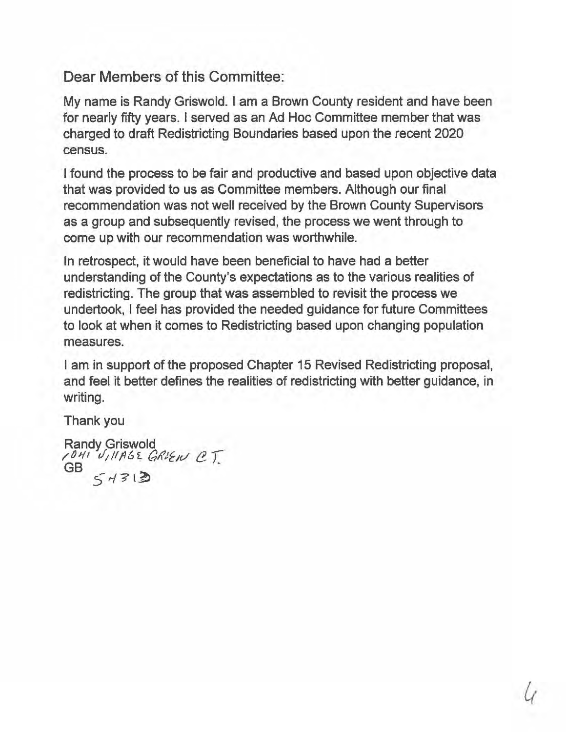Dear Members of this Committee:

My name is Randy Griswold. I am a Brown County resident and have been for nearly fifty years. I served as an Ad Hoc Committee member that was charged to draft Redistricting Boundaries based upon the recent 2020 census.

I found the process to be fair and productive and based upon objective data that was provided to us as Committee members. Although our final recommendation was not well received by the Brown County Supervisors as a group and subsequently revised, the process we went through to come up with our recommendation was worthwhile.

In retrospect, it would have been beneficial to have had a better understanding of the County's expectations as to the various realities of redistricting. The group that was assembled to revisit the process we undertook, I feel has provided the needed guidance for future Committees to look at when it comes to Redistricting based upon changing population measures.

I am in support of the proposed Chapter 15 Revised Redistricting proposal, and feel it better defines the realities of redistricting with better guidance, in writing.

Thank you

Randy Griswold<br>1<sup>041</sup> U<sub>I</sub>IIAGE GRIEN CT.<br>GB  $54313$